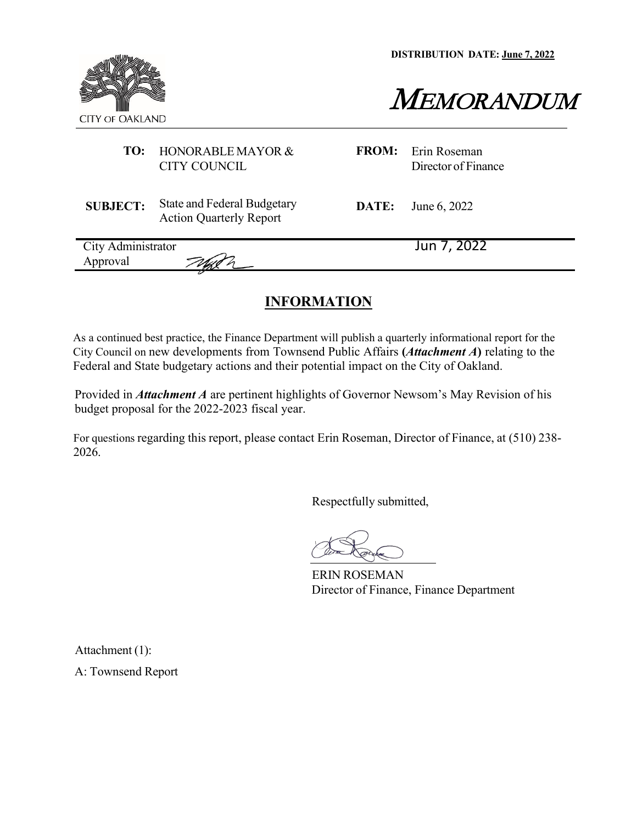**DISTRIBUTION DATE: June 7, 2022**



MEMORANDUM

# **TO:** HONORABLE MAYOR & CITY COUNCIL

**FROM:** Erin Roseman Director of Finance

**SUBJECT:** State and Federal Budgetary Action Quarterly Report

**DATE:** June 6, 2022

| City Administrator | Jun 7, 2022 |
|--------------------|-------------|
| Approval           |             |
|                    |             |

# **INFORMATION**

As a continued best practice, the Finance Department will publish a quarterly informational report for the City Council on new developments from Townsend Public Affairs **(***Attachment A***)** relating to the Federal and State budgetary actions and their potential impact on the City of Oakland.

Provided in *Attachment A* are pertinent highlights of Governor Newsom's May Revision of his budget proposal for the 2022-2023 fiscal year.

For questions regarding this report, please contact Erin Roseman, Director of Finance, at (510) 238- 2026.

Respectfully submitted,

ERIN ROSEMAN Director of Finance, Finance Department

Attachment (1):

A: Townsend Report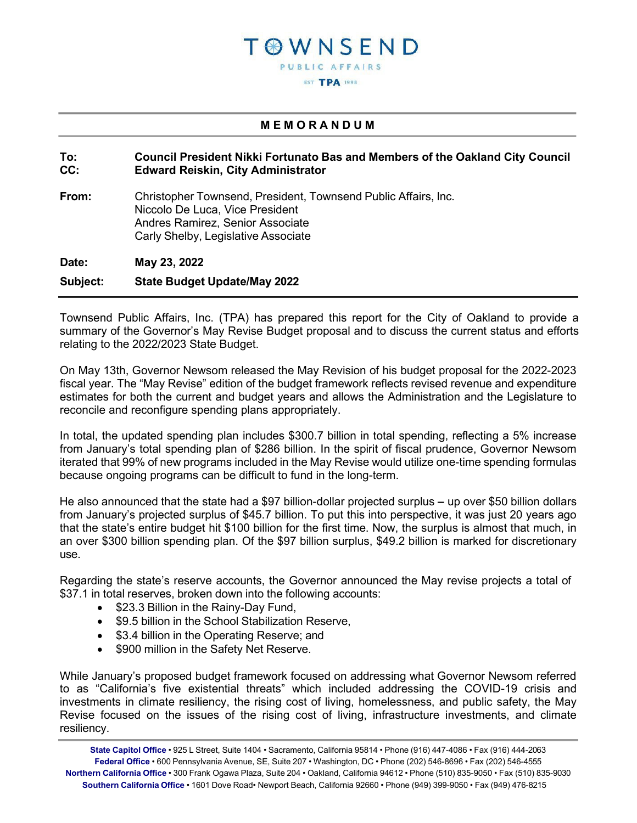# T @ W N S E N D **PUBLIC AFFAIRS EST TPA 1998**

### **M E M O R A N D U M**

#### **To: Council President Nikki Fortunato Bas and Members of the Oakland City Council CC: Edward Reiskin, City Administrator**

**From:** Christopher Townsend, President, Townsend Public Affairs, Inc. Niccolo De Luca, Vice President Andres Ramirez, Senior Associate Carly Shelby, Legislative Associate

**Date: May 23, 2022 Subject: State Budget Update/May 2022**

Townsend Public Affairs, Inc. (TPA) has prepared this report for the City of Oakland to provide a summary of the Governor's May Revise Budget proposal and to discuss the current status and efforts relating to the 2022/2023 State Budget.

On May 13th, Governor Newsom released the May Revision of his budget proposal for the 2022-2023 fiscal year. The "May Revise" edition of the budget framework reflects revised revenue and expenditure estimates for both the current and budget years and allows the Administration and the Legislature to reconcile and reconfigure spending plans appropriately.

In total, the updated spending plan includes \$300.7 billion in total spending, reflecting a 5% increase from January's total spending plan of \$286 billion. In the spirit of fiscal prudence, Governor Newsom iterated that 99% of new programs included in the May Revise would utilize one-time spending formulas because ongoing programs can be difficult to fund in the long-term.

He also announced that the state had a \$97 billion-dollar projected surplus **–** up over \$50 billion dollars from January's projected surplus of \$45.7 billion. To put this into perspective, it was just 20 years ago that the state's entire budget hit \$100 billion for the first time. Now, the surplus is almost that much, in an over \$300 billion spending plan. Of the \$97 billion surplus, \$49.2 billion is marked for discretionary use.

Regarding the state's reserve accounts, the Governor announced the May revise projects a total of \$37.1 in total reserves, broken down into the following accounts:

- \$23.3 Billion in the Rainy-Day Fund.
- \$9.5 billion in the School Stabilization Reserve,
- \$3.4 billion in the Operating Reserve; and
- \$900 million in the Safety Net Reserve.

While January's proposed budget framework focused on addressing what Governor Newsom referred to as "California's five existential threats" which included addressing the COVID-19 crisis and investments in climate resiliency, the rising cost of living, homelessness, and public safety, the May Revise focused on the issues of the rising cost of living, infrastructure investments, and climate resiliency.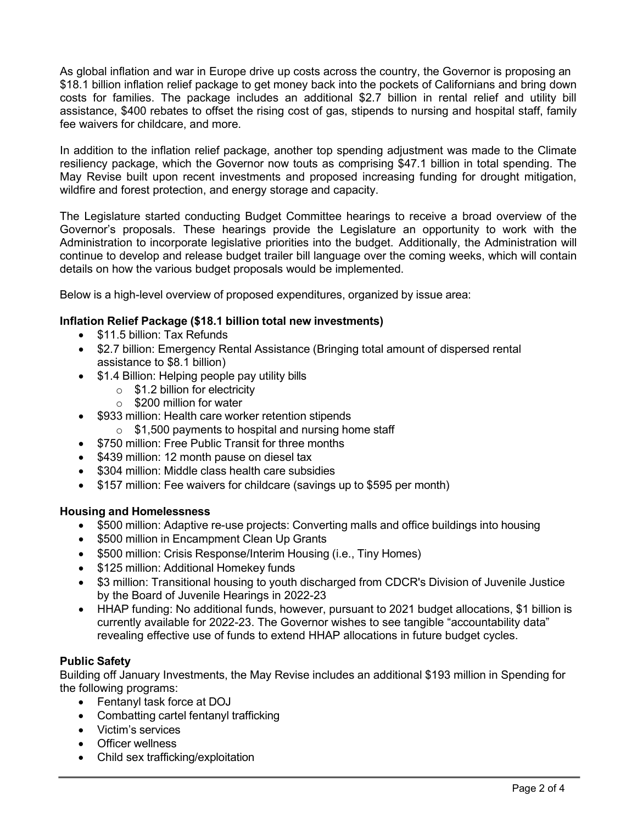As global inflation and war in Europe drive up costs across the country, the Governor is proposing an \$18.1 billion inflation relief package to get money back into the pockets of Californians and bring down costs for families. The package includes an additional \$2.7 billion in rental relief and utility bill assistance, \$400 rebates to offset the rising cost of gas, stipends to nursing and hospital staff, family fee waivers for childcare, and more.

In addition to the inflation relief package, another top spending adjustment was made to the Climate resiliency package, which the Governor now touts as comprising \$47.1 billion in total spending. The May Revise built upon recent investments and proposed increasing funding for drought mitigation, wildfire and forest protection, and energy storage and capacity.

The Legislature started conducting Budget Committee hearings to receive a broad overview of the Governor's proposals. These hearings provide the Legislature an opportunity to work with the Administration to incorporate legislative priorities into the budget. Additionally, the Administration will continue to develop and release budget trailer bill language over the coming weeks, which will contain details on how the various budget proposals would be implemented.

Below is a high-level overview of proposed expenditures, organized by issue area:

### **Inflation Relief Package (\$18.1 billion total new investments)**

- \$11.5 billion: Tax Refunds
- \$2.7 billion: Emergency Rental Assistance (Bringing total amount of dispersed rental assistance to \$8.1 billion)
- \$1.4 Billion: Helping people pay utility bills
	- o \$1.2 billion for electricity
	- o \$200 million for water
- \$933 million: Health care worker retention stipends
	- $\circ$  \$1,500 payments to hospital and nursing home staff
- \$750 million: Free Public Transit for three months
- \$439 million: 12 month pause on diesel tax
- \$304 million: Middle class health care subsidies
- \$157 million: Fee waivers for childcare (savings up to \$595 per month)

### **Housing and Homelessness**

- \$500 million: Adaptive re-use projects: Converting malls and office buildings into housing
- \$500 million in Encampment Clean Up Grants
- \$500 million: Crisis Response/Interim Housing (i.e., Tiny Homes)
- \$125 million: Additional Homekey funds
- \$3 million: Transitional housing to youth discharged from CDCR's Division of Juvenile Justice by the Board of Juvenile Hearings in 2022-23
- HHAP funding: No additional funds, however, pursuant to 2021 budget allocations, \$1 billion is currently available for 2022-23. The Governor wishes to see tangible "accountability data" revealing effective use of funds to extend HHAP allocations in future budget cycles.

### **Public Safety**

Building off January Investments, the May Revise includes an additional \$193 million in Spending for the following programs:

- Fentanyl task force at DOJ
- Combatting cartel fentanyl trafficking
- Victim's services
- Officer wellness
- Child sex trafficking/exploitation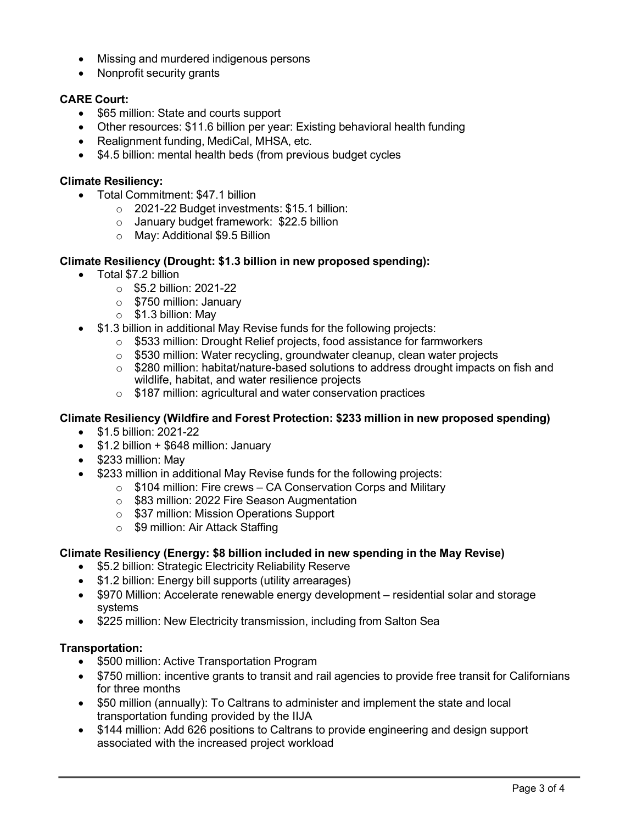- Missing and murdered indigenous persons
- Nonprofit security grants

# **CARE Court:**

- \$65 million: State and courts support
- Other resources: \$11.6 billion per year: Existing behavioral health funding
- Realignment funding, MediCal, MHSA, etc.
- \$4.5 billion: mental health beds (from previous budget cycles

### **Climate Resiliency:**

- Total Commitment: \$47.1 billion
	- o 2021-22 Budget investments: \$15.1 billion:
	- o January budget framework: \$22.5 billion
	- o May: Additional \$9.5 Billion

### **Climate Resiliency (Drought: \$1.3 billion in new proposed spending):**

- Total \$7.2 billion
	- $\circ$  \$5.2 billion: 2021-22
	- o \$750 million: January
	- $\circ$  \$1.3 billion: May
- \$1.3 billion in additional May Revise funds for the following projects:
	- o \$533 million: Drought Relief projects, food assistance for farmworkers
	- o \$530 million: Water recycling, groundwater cleanup, clean water projects
	- $\circ$  \$280 million: habitat/nature-based solutions to address drought impacts on fish and wildlife, habitat, and water resilience projects
	- o \$187 million: agricultural and water conservation practices

### **Climate Resiliency (Wildfire and Forest Protection: \$233 million in new proposed spending)**

- \$1.5 billion: 2021-22
- \$1.2 billion + \$648 million: January
- \$233 million: May
- \$233 million in additional May Revise funds for the following projects:
	- $\circ$  \$104 million: Fire crews CA Conservation Corps and Military
	- o \$83 million: 2022 Fire Season Augmentation
	- o \$37 million: Mission Operations Support
	- o \$9 million: Air Attack Staffing

### **Climate Resiliency (Energy: \$8 billion included in new spending in the May Revise)**

- \$5.2 billion: Strategic Electricity Reliability Reserve
- \$1.2 billion: Energy bill supports (utility arrearages)
- \$970 Million: Accelerate renewable energy development residential solar and storage systems
- \$225 million: New Electricity transmission, including from Salton Sea

### **Transportation:**

- \$500 million: Active Transportation Program
- \$750 million: incentive grants to transit and rail agencies to provide free transit for Californians for three months
- \$50 million (annually): To Caltrans to administer and implement the state and local transportation funding provided by the IIJA
- \$144 million: Add 626 positions to Caltrans to provide engineering and design support associated with the increased project workload